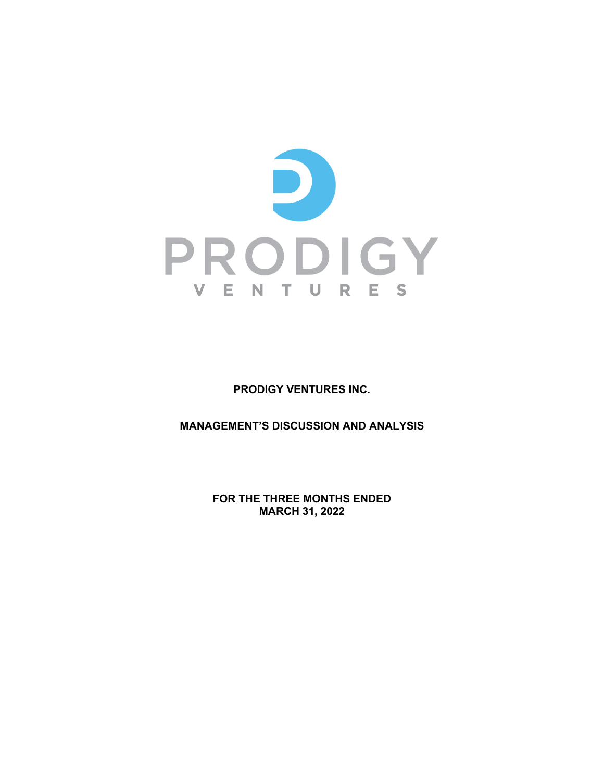

**PRODIGY VENTURES INC.** 

**MANAGEMENT'S DISCUSSION AND ANALYSIS**

**FOR THE THREE MONTHS ENDED MARCH 31, 2022**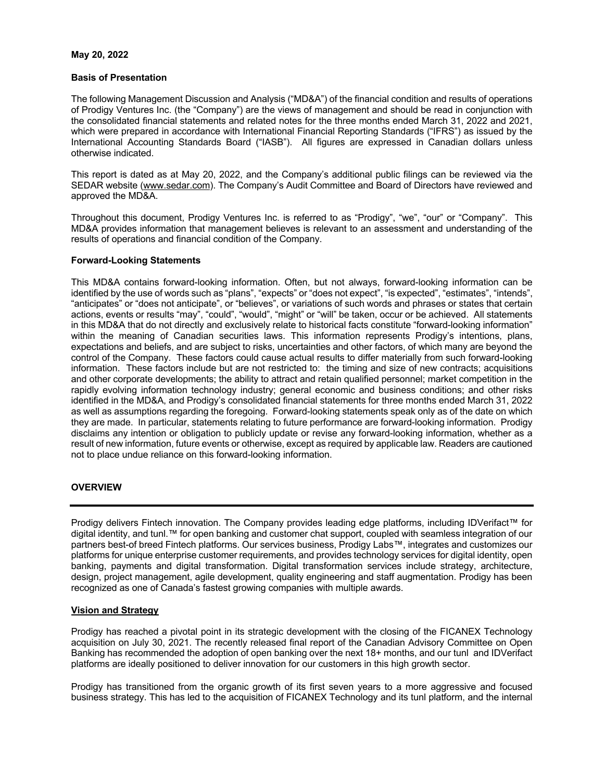### **May 20, 2022**

### **Basis of Presentation**

The following Management Discussion and Analysis ("MD&A") of the financial condition and results of operations of Prodigy Ventures Inc. (the "Company") are the views of management and should be read in conjunction with the consolidated financial statements and related notes for the three months ended March 31, 2022 and 2021, which were prepared in accordance with International Financial Reporting Standards ("IFRS") as issued by the International Accounting Standards Board ("IASB"). All figures are expressed in Canadian dollars unless otherwise indicated.

This report is dated as at May 20, 2022, and the Company's additional public filings can be reviewed via the SEDAR website (www.sedar.com). The Company's Audit Committee and Board of Directors have reviewed and approved the MD&A.

Throughout this document, Prodigy Ventures Inc. is referred to as "Prodigy", "we", "our" or "Company". This MD&A provides information that management believes is relevant to an assessment and understanding of the results of operations and financial condition of the Company.

# **Forward-Looking Statements**

This MD&A contains forward-looking information. Often, but not always, forward-looking information can be identified by the use of words such as "plans", "expects" or "does not expect", "is expected", "estimates", "intends", "anticipates" or "does not anticipate", or "believes", or variations of such words and phrases or states that certain actions, events or results "may", "could", "would", "might" or "will" be taken, occur or be achieved. All statements in this MD&A that do not directly and exclusively relate to historical facts constitute "forward-looking information" within the meaning of Canadian securities laws. This information represents Prodigy's intentions, plans, expectations and beliefs, and are subject to risks, uncertainties and other factors, of which many are beyond the control of the Company. These factors could cause actual results to differ materially from such forward-looking information. These factors include but are not restricted to: the timing and size of new contracts; acquisitions and other corporate developments; the ability to attract and retain qualified personnel; market competition in the rapidly evolving information technology industry; general economic and business conditions; and other risks identified in the MD&A, and Prodigy's consolidated financial statements for three months ended March 31, 2022 as well as assumptions regarding the foregoing. Forward-looking statements speak only as of the date on which they are made. In particular, statements relating to future performance are forward-looking information. Prodigy disclaims any intention or obligation to publicly update or revise any forward-looking information, whether as a result of new information, future events or otherwise, except as required by applicable law. Readers are cautioned not to place undue reliance on this forward-looking information.

# **OVERVIEW**

Prodigy delivers Fintech innovation. The Company provides leading edge platforms, including IDVerifact™ for digital identity, and tunl.™ for open banking and customer chat support, coupled with seamless integration of our partners best-of breed Fintech platforms. Our services business, Prodigy Labs™, integrates and customizes our platforms for unique enterprise customer requirements, and provides technology services for digital identity, open banking, payments and digital transformation. Digital transformation services include strategy, architecture, design, project management, agile development, quality engineering and staff augmentation. Prodigy has been recognized as one of Canada's fastest growing companies with multiple awards.

# **Vision and Strategy**

Prodigy has reached a pivotal point in its strategic development with the closing of the FICANEX Technology acquisition on July 30, 2021. The recently released final report of the Canadian Advisory Committee on Open Banking has recommended the adoption of open banking over the next 18+ months, and our tunl and IDVerifact platforms are ideally positioned to deliver innovation for our customers in this high growth sector.

Prodigy has transitioned from the organic growth of its first seven years to a more aggressive and focused business strategy. This has led to the acquisition of FICANEX Technology and its tunl platform, and the internal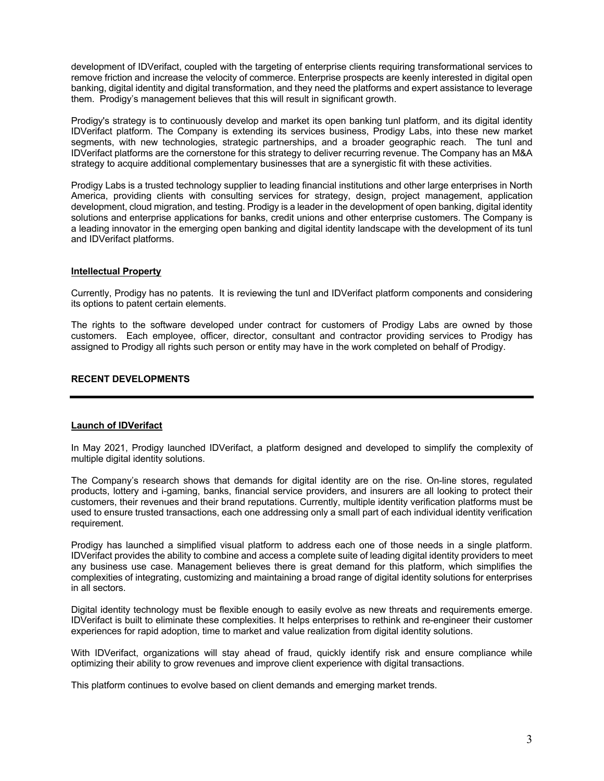development of IDVerifact, coupled with the targeting of enterprise clients requiring transformational services to remove friction and increase the velocity of commerce. Enterprise prospects are keenly interested in digital open banking, digital identity and digital transformation, and they need the platforms and expert assistance to leverage them. Prodigy's management believes that this will result in significant growth.

Prodigy's strategy is to continuously develop and market its open banking tunl platform, and its digital identity IDVerifact platform. The Company is extending its services business, Prodigy Labs, into these new market segments, with new technologies, strategic partnerships, and a broader geographic reach. The tunl and IDVerifact platforms are the cornerstone for this strategy to deliver recurring revenue. The Company has an M&A strategy to acquire additional complementary businesses that are a synergistic fit with these activities.

Prodigy Labs is a trusted technology supplier to leading financial institutions and other large enterprises in North America, providing clients with consulting services for strategy, design, project management, application development, cloud migration, and testing. Prodigy is a leader in the development of open banking, digital identity solutions and enterprise applications for banks, credit unions and other enterprise customers. The Company is a leading innovator in the emerging open banking and digital identity landscape with the development of its tunl and IDVerifact platforms.

# **Intellectual Property**

Currently, Prodigy has no patents. It is reviewing the tunl and IDVerifact platform components and considering its options to patent certain elements.

The rights to the software developed under contract for customers of Prodigy Labs are owned by those customers. Each employee, officer, director, consultant and contractor providing services to Prodigy has assigned to Prodigy all rights such person or entity may have in the work completed on behalf of Prodigy.

## **RECENT DEVELOPMENTS**

# **Launch of IDVerifact**

In May 2021, Prodigy launched IDVerifact, a platform designed and developed to simplify the complexity of multiple digital identity solutions.

The Company's research shows that demands for digital identity are on the rise. On-line stores, regulated products, lottery and i-gaming, banks, financial service providers, and insurers are all looking to protect their customers, their revenues and their brand reputations. Currently, multiple identity verification platforms must be used to ensure trusted transactions, each one addressing only a small part of each individual identity verification requirement.

Prodigy has launched a simplified visual platform to address each one of those needs in a single platform. IDVerifact provides the ability to combine and access a complete suite of leading digital identity providers to meet any business use case. Management believes there is great demand for this platform, which simplifies the complexities of integrating, customizing and maintaining a broad range of digital identity solutions for enterprises in all sectors.

Digital identity technology must be flexible enough to easily evolve as new threats and requirements emerge. IDVerifact is built to eliminate these complexities. It helps enterprises to rethink and re-engineer their customer experiences for rapid adoption, time to market and value realization from digital identity solutions.

With IDVerifact, organizations will stay ahead of fraud, quickly identify risk and ensure compliance while optimizing their ability to grow revenues and improve client experience with digital transactions.

This platform continues to evolve based on client demands and emerging market trends.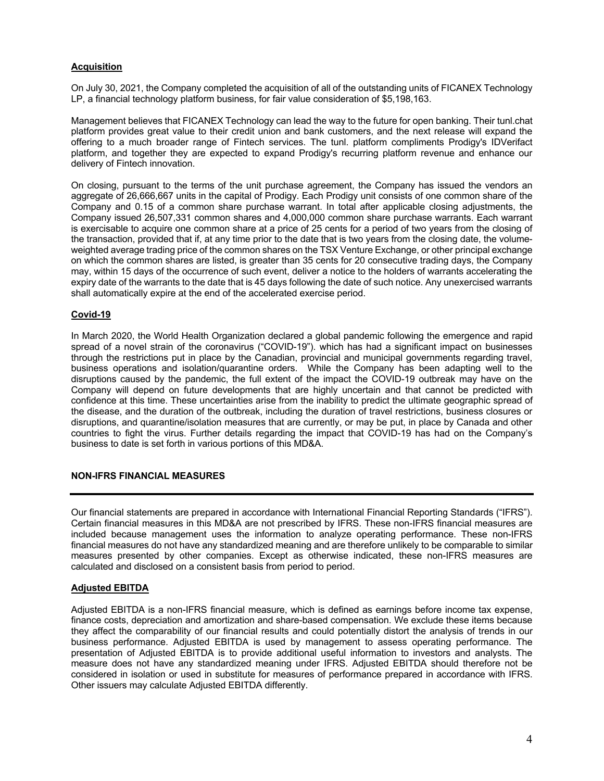# **Acquisition**

On July 30, 2021, the Company completed the acquisition of all of the outstanding units of FICANEX Technology LP, a financial technology platform business, for fair value consideration of \$5,198,163.

Management believes that FICANEX Technology can lead the way to the future for open banking. Their tunl.chat platform provides great value to their credit union and bank customers, and the next release will expand the offering to a much broader range of Fintech services. The tunl. platform compliments Prodigy's IDVerifact platform, and together they are expected to expand Prodigy's recurring platform revenue and enhance our delivery of Fintech innovation.

On closing, pursuant to the terms of the unit purchase agreement, the Company has issued the vendors an aggregate of 26,666,667 units in the capital of Prodigy. Each Prodigy unit consists of one common share of the Company and 0.15 of a common share purchase warrant. In total after applicable closing adjustments, the Company issued 26,507,331 common shares and 4,000,000 common share purchase warrants. Each warrant is exercisable to acquire one common share at a price of 25 cents for a period of two years from the closing of the transaction, provided that if, at any time prior to the date that is two years from the closing date, the volumeweighted average trading price of the common shares on the TSX Venture Exchange, or other principal exchange on which the common shares are listed, is greater than 35 cents for 20 consecutive trading days, the Company may, within 15 days of the occurrence of such event, deliver a notice to the holders of warrants accelerating the expiry date of the warrants to the date that is 45 days following the date of such notice. Any unexercised warrants shall automatically expire at the end of the accelerated exercise period.

# **Covid-19**

In March 2020, the World Health Organization declared a global pandemic following the emergence and rapid spread of a novel strain of the coronavirus ("COVID-19"). which has had a significant impact on businesses through the restrictions put in place by the Canadian, provincial and municipal governments regarding travel, business operations and isolation/quarantine orders. While the Company has been adapting well to the disruptions caused by the pandemic, the full extent of the impact the COVID-19 outbreak may have on the Company will depend on future developments that are highly uncertain and that cannot be predicted with confidence at this time. These uncertainties arise from the inability to predict the ultimate geographic spread of the disease, and the duration of the outbreak, including the duration of travel restrictions, business closures or disruptions, and quarantine/isolation measures that are currently, or may be put, in place by Canada and other countries to fight the virus. Further details regarding the impact that COVID-19 has had on the Company's business to date is set forth in various portions of this MD&A.

# **NON-IFRS FINANCIAL MEASURES**

Our financial statements are prepared in accordance with International Financial Reporting Standards ("IFRS"). Certain financial measures in this MD&A are not prescribed by IFRS. These non-IFRS financial measures are included because management uses the information to analyze operating performance. These non-IFRS financial measures do not have any standardized meaning and are therefore unlikely to be comparable to similar measures presented by other companies. Except as otherwise indicated, these non-IFRS measures are calculated and disclosed on a consistent basis from period to period.

# **Adjusted EBITDA**

Adjusted EBITDA is a non-IFRS financial measure, which is defined as earnings before income tax expense, finance costs, depreciation and amortization and share-based compensation. We exclude these items because they affect the comparability of our financial results and could potentially distort the analysis of trends in our business performance. Adjusted EBITDA is used by management to assess operating performance. The presentation of Adjusted EBITDA is to provide additional useful information to investors and analysts. The measure does not have any standardized meaning under IFRS. Adjusted EBITDA should therefore not be considered in isolation or used in substitute for measures of performance prepared in accordance with IFRS. Other issuers may calculate Adjusted EBITDA differently.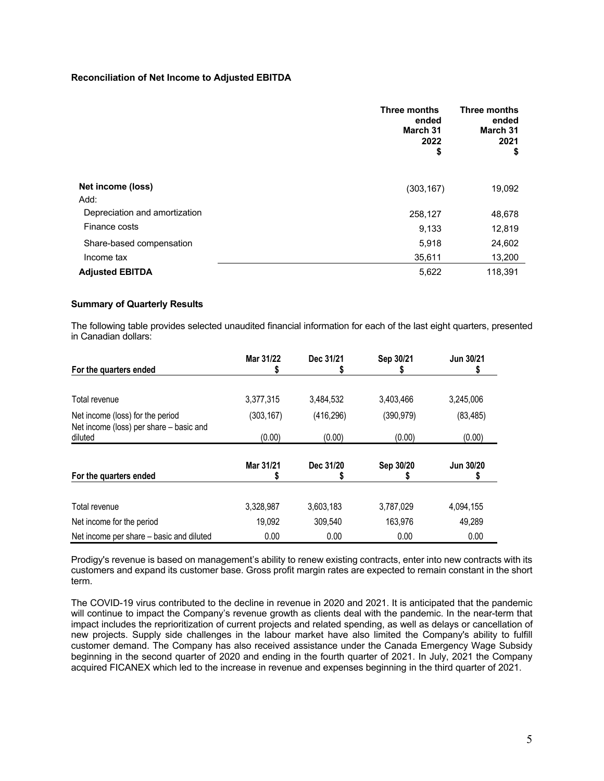## **Reconciliation of Net Income to Adjusted EBITDA**

|                               | <b>Three months</b><br>ended<br>March 31<br>2022<br>\$ | <b>Three months</b><br>ended<br>March 31<br>2021<br>\$ |
|-------------------------------|--------------------------------------------------------|--------------------------------------------------------|
| Net income (loss)             | (303, 167)                                             | 19,092                                                 |
| Add:                          |                                                        |                                                        |
| Depreciation and amortization | 258,127                                                | 48,678                                                 |
| Finance costs                 | 9,133                                                  | 12,819                                                 |
| Share-based compensation      | 5,918                                                  | 24,602                                                 |
| Income tax                    | 35,611                                                 | 13,200                                                 |
| <b>Adjusted EBITDA</b>        | 5,622                                                  | 118,391                                                |

# **Summary of Quarterly Results**

The following table provides selected unaudited financial information for each of the last eight quarters, presented in Canadian dollars:

| For the quarters ended                             | Mar 31/22  | Dec 31/21  | Sep 30/21  | Jun 30/21 |
|----------------------------------------------------|------------|------------|------------|-----------|
|                                                    |            |            |            |           |
| Total revenue                                      | 3,377,315  | 3,484,532  | 3,403,466  | 3,245,006 |
| Net income (loss) for the period                   | (303, 167) | (416, 296) | (390, 979) | (83, 485) |
| Net income (loss) per share - basic and<br>diluted | (0.00)     | (0.00)     | (0.00)     | (0.00)    |
| For the quarters ended                             | Mar 31/21  | Dec 31/20  | Sep 30/20  | Jun 30/20 |
|                                                    |            |            |            |           |
| Total revenue                                      | 3,328,987  | 3,603,183  | 3,787,029  | 4,094,155 |
| Net income for the period                          | 19,092     | 309.540    | 163.976    | 49,289    |
| Net income per share - basic and diluted           | 0.00       | 0.00       | 0.00       | 0.00      |

Prodigy's revenue is based on management's ability to renew existing contracts, enter into new contracts with its customers and expand its customer base. Gross profit margin rates are expected to remain constant in the short term.

The COVID-19 virus contributed to the decline in revenue in 2020 and 2021. It is anticipated that the pandemic will continue to impact the Company's revenue growth as clients deal with the pandemic. In the near-term that impact includes the reprioritization of current projects and related spending, as well as delays or cancellation of new projects. Supply side challenges in the labour market have also limited the Company's ability to fulfill customer demand. The Company has also received assistance under the Canada Emergency Wage Subsidy beginning in the second quarter of 2020 and ending in the fourth quarter of 2021. In July, 2021 the Company acquired FICANEX which led to the increase in revenue and expenses beginning in the third quarter of 2021.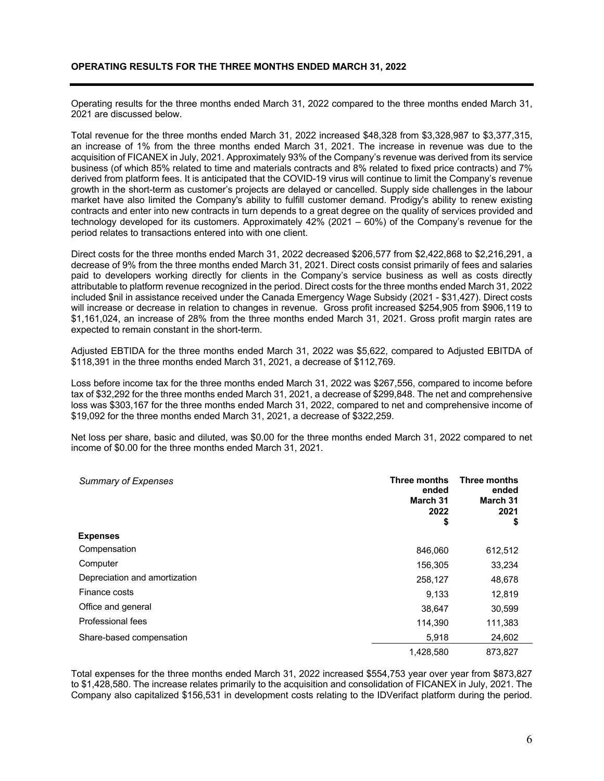Operating results for the three months ended March 31, 2022 compared to the three months ended March 31, 2021 are discussed below.

Total revenue for the three months ended March 31, 2022 increased \$48,328 from \$3,328,987 to \$3,377,315, an increase of 1% from the three months ended March 31, 2021. The increase in revenue was due to the acquisition of FICANEX in July, 2021. Approximately 93% of the Company's revenue was derived from its service business (of which 85% related to time and materials contracts and 8% related to fixed price contracts) and 7% derived from platform fees. It is anticipated that the COVID-19 virus will continue to limit the Company's revenue growth in the short-term as customer's projects are delayed or cancelled. Supply side challenges in the labour market have also limited the Company's ability to fulfill customer demand. Prodigy's ability to renew existing contracts and enter into new contracts in turn depends to a great degree on the quality of services provided and technology developed for its customers. Approximately 42% (2021 – 60%) of the Company's revenue for the period relates to transactions entered into with one client.

Direct costs for the three months ended March 31, 2022 decreased \$206,577 from \$2,422,868 to \$2,216,291, a decrease of 9% from the three months ended March 31, 2021. Direct costs consist primarily of fees and salaries paid to developers working directly for clients in the Company's service business as well as costs directly attributable to platform revenue recognized in the period. Direct costs for the three months ended March 31, 2022 included \$nil in assistance received under the Canada Emergency Wage Subsidy (2021 - \$31,427). Direct costs will increase or decrease in relation to changes in revenue. Gross profit increased \$254,905 from \$906,119 to \$1,161,024, an increase of 28% from the three months ended March 31, 2021. Gross profit margin rates are expected to remain constant in the short-term.

Adjusted EBTIDA for the three months ended March 31, 2022 was \$5,622, compared to Adjusted EBITDA of \$118,391 in the three months ended March 31, 2021, a decrease of \$112,769.

Loss before income tax for the three months ended March 31, 2022 was \$267,556, compared to income before tax of \$32,292 for the three months ended March 31, 2021, a decrease of \$299,848. The net and comprehensive loss was \$303,167 for the three months ended March 31, 2022, compared to net and comprehensive income of \$19,092 for the three months ended March 31, 2021, a decrease of \$322,259.

Net loss per share, basic and diluted, was \$0.00 for the three months ended March 31, 2022 compared to net income of \$0.00 for the three months ended March 31, 2021.

| <b>Summary of Expenses</b>    | Three months<br>ended<br>March 31<br>2022<br>\$ | Three months<br>ended<br>March 31<br>2021<br>\$ |
|-------------------------------|-------------------------------------------------|-------------------------------------------------|
| <b>Expenses</b>               |                                                 |                                                 |
| Compensation                  | 846,060                                         | 612,512                                         |
| Computer                      | 156,305                                         | 33,234                                          |
| Depreciation and amortization | 258,127                                         | 48,678                                          |
| Finance costs                 | 9,133                                           | 12,819                                          |
| Office and general            | 38,647                                          | 30,599                                          |
| Professional fees             | 114,390                                         | 111,383                                         |
| Share-based compensation      | 5,918                                           | 24,602                                          |
|                               | 1,428,580                                       | 873,827                                         |

Total expenses for the three months ended March 31, 2022 increased \$554,753 year over year from \$873,827 to \$1,428,580. The increase relates primarily to the acquisition and consolidation of FICANEX in July, 2021. The Company also capitalized \$156,531 in development costs relating to the IDVerifact platform during the period.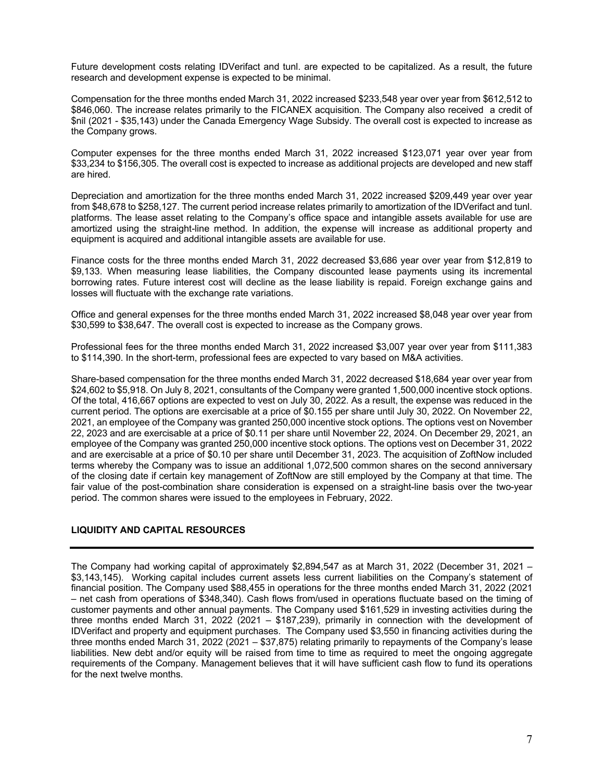Future development costs relating IDVerifact and tunl. are expected to be capitalized. As a result, the future research and development expense is expected to be minimal.

Compensation for the three months ended March 31, 2022 increased \$233,548 year over year from \$612,512 to \$846,060. The increase relates primarily to the FICANEX acquisition. The Company also received a credit of \$nil (2021 - \$35,143) under the Canada Emergency Wage Subsidy. The overall cost is expected to increase as the Company grows.

Computer expenses for the three months ended March 31, 2022 increased \$123,071 year over year from \$33,234 to \$156,305. The overall cost is expected to increase as additional projects are developed and new staff are hired.

Depreciation and amortization for the three months ended March 31, 2022 increased \$209,449 year over year from \$48,678 to \$258,127. The current period increase relates primarily to amortization of the IDVerifact and tunl. platforms. The lease asset relating to the Company's office space and intangible assets available for use are amortized using the straight-line method. In addition, the expense will increase as additional property and equipment is acquired and additional intangible assets are available for use.

Finance costs for the three months ended March 31, 2022 decreased \$3,686 year over year from \$12,819 to \$9,133. When measuring lease liabilities, the Company discounted lease payments using its incremental borrowing rates. Future interest cost will decline as the lease liability is repaid. Foreign exchange gains and losses will fluctuate with the exchange rate variations.

Office and general expenses for the three months ended March 31, 2022 increased \$8,048 year over year from \$30,599 to \$38,647. The overall cost is expected to increase as the Company grows.

Professional fees for the three months ended March 31, 2022 increased \$3,007 year over year from \$111,383 to \$114,390. In the short-term, professional fees are expected to vary based on M&A activities.

Share-based compensation for the three months ended March 31, 2022 decreased \$18,684 year over year from \$24,602 to \$5,918. On July 8, 2021, consultants of the Company were granted 1,500,000 incentive stock options. Of the total, 416,667 options are expected to vest on July 30, 2022. As a result, the expense was reduced in the current period. The options are exercisable at a price of \$0.155 per share until July 30, 2022. On November 22, 2021, an employee of the Company was granted 250,000 incentive stock options. The options vest on November 22, 2023 and are exercisable at a price of \$0.11 per share until November 22, 2024. On December 29, 2021, an employee of the Company was granted 250,000 incentive stock options. The options vest on December 31, 2022 and are exercisable at a price of \$0.10 per share until December 31, 2023. The acquisition of ZoftNow included terms whereby the Company was to issue an additional 1,072,500 common shares on the second anniversary of the closing date if certain key management of ZoftNow are still employed by the Company at that time. The fair value of the post-combination share consideration is expensed on a straight-line basis over the two-year period. The common shares were issued to the employees in February, 2022.

# **LIQUIDITY AND CAPITAL RESOURCES**

The Company had working capital of approximately \$2,894,547 as at March 31, 2022 (December 31, 2021 – \$3,143,145). Working capital includes current assets less current liabilities on the Company's statement of financial position. The Company used \$88,455 in operations for the three months ended March 31, 2022 (2021 – net cash from operations of \$348,340). Cash flows from/used in operations fluctuate based on the timing of customer payments and other annual payments. The Company used \$161,529 in investing activities during the three months ended March 31, 2022 (2021 – \$187,239), primarily in connection with the development of IDVerifact and property and equipment purchases. The Company used \$3,550 in financing activities during the three months ended March 31, 2022 (2021 – \$37,875) relating primarily to repayments of the Company's lease liabilities. New debt and/or equity will be raised from time to time as required to meet the ongoing aggregate requirements of the Company. Management believes that it will have sufficient cash flow to fund its operations for the next twelve months.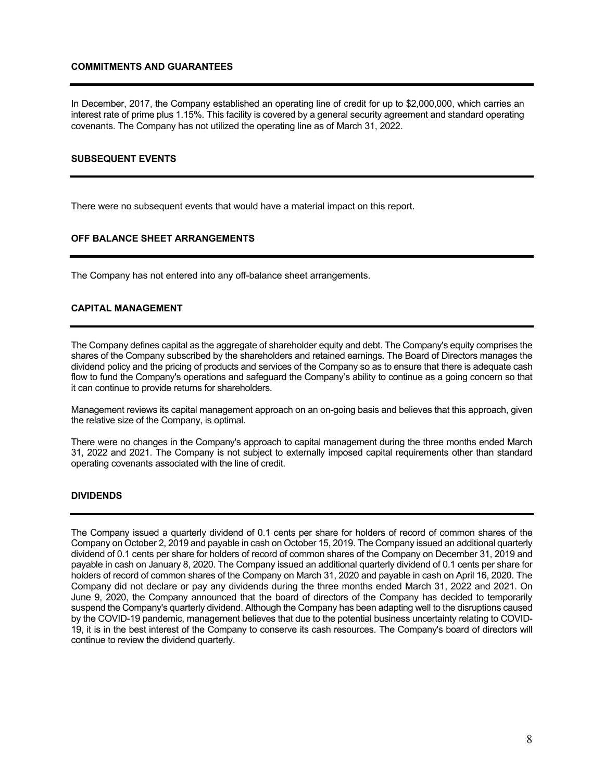### **COMMITMENTS AND GUARANTEES**

In December, 2017, the Company established an operating line of credit for up to \$2,000,000, which carries an interest rate of prime plus 1.15%. This facility is covered by a general security agreement and standard operating covenants. The Company has not utilized the operating line as of March 31, 2022.

## **SUBSEQUENT EVENTS**

There were no subsequent events that would have a material impact on this report.

## **OFF BALANCE SHEET ARRANGEMENTS**

The Company has not entered into any off-balance sheet arrangements.

## **CAPITAL MANAGEMENT**

The Company defines capital as the aggregate of shareholder equity and debt. The Company's equity comprises the shares of the Company subscribed by the shareholders and retained earnings. The Board of Directors manages the dividend policy and the pricing of products and services of the Company so as to ensure that there is adequate cash flow to fund the Company's operations and safeguard the Company's ability to continue as a going concern so that it can continue to provide returns for shareholders.

Management reviews its capital management approach on an on-going basis and believes that this approach, given the relative size of the Company, is optimal.

There were no changes in the Company's approach to capital management during the three months ended March 31, 2022 and 2021. The Company is not subject to externally imposed capital requirements other than standard operating covenants associated with the line of credit.

### **DIVIDENDS**

The Company issued a quarterly dividend of 0.1 cents per share for holders of record of common shares of the Company on October 2, 2019 and payable in cash on October 15, 2019. The Company issued an additional quarterly dividend of 0.1 cents per share for holders of record of common shares of the Company on December 31, 2019 and payable in cash on January 8, 2020. The Company issued an additional quarterly dividend of 0.1 cents per share for holders of record of common shares of the Company on March 31, 2020 and payable in cash on April 16, 2020. The Company did not declare or pay any dividends during the three months ended March 31, 2022 and 2021. On June 9, 2020, the Company announced that the board of directors of the Company has decided to temporarily suspend the Company's quarterly dividend. Although the Company has been adapting well to the disruptions caused by the COVID-19 pandemic, management believes that due to the potential business uncertainty relating to COVID-19, it is in the best interest of the Company to conserve its cash resources. The Company's board of directors will continue to review the dividend quarterly.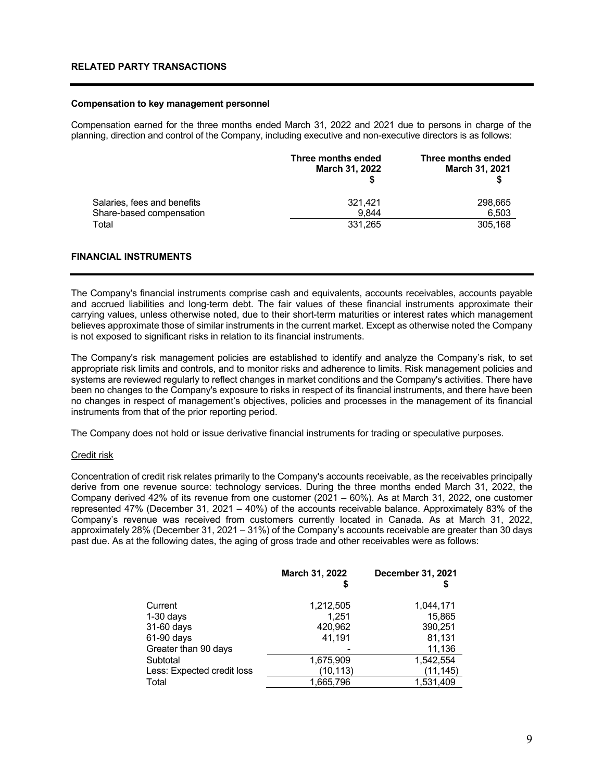#### **Compensation to key management personnel**

Compensation earned for the three months ended March 31, 2022 and 2021 due to persons in charge of the planning, direction and control of the Company, including executive and non-executive directors is as follows:

|                             | Three months ended<br>March 31, 2022 | Three months ended<br><b>March 31, 2021</b> |
|-----------------------------|--------------------------------------|---------------------------------------------|
| Salaries, fees and benefits | 321.421                              | 298,665                                     |
| Share-based compensation    | 9.844                                | 6.503                                       |
| Total                       | 331,265                              | 305.168                                     |

## **FINANCIAL INSTRUMENTS**

The Company's financial instruments comprise cash and equivalents, accounts receivables, accounts payable and accrued liabilities and long-term debt. The fair values of these financial instruments approximate their carrying values, unless otherwise noted, due to their short-term maturities or interest rates which management believes approximate those of similar instruments in the current market. Except as otherwise noted the Company is not exposed to significant risks in relation to its financial instruments.

The Company's risk management policies are established to identify and analyze the Company's risk, to set appropriate risk limits and controls, and to monitor risks and adherence to limits. Risk management policies and systems are reviewed regularly to reflect changes in market conditions and the Company's activities. There have been no changes to the Company's exposure to risks in respect of its financial instruments, and there have been no changes in respect of management's objectives, policies and processes in the management of its financial instruments from that of the prior reporting period.

The Company does not hold or issue derivative financial instruments for trading or speculative purposes.

#### Credit risk

Concentration of credit risk relates primarily to the Company's accounts receivable, as the receivables principally derive from one revenue source: technology services. During the three months ended March 31, 2022, the Company derived 42% of its revenue from one customer (2021 – 60%). As at March 31, 2022, one customer represented 47% (December 31, 2021 – 40%) of the accounts receivable balance. Approximately 83% of the Company's revenue was received from customers currently located in Canada. As at March 31, 2022, approximately 28% (December 31, 2021 – 31%) of the Company's accounts receivable are greater than 30 days past due. As at the following dates, the aging of gross trade and other receivables were as follows:

|                            | March 31, 2022<br>5 | December 31, 2021 |
|----------------------------|---------------------|-------------------|
| Current                    | 1,212,505           | 1.044.171         |
| $1-30$ days                | 1.251               | 15,865            |
| 31-60 days                 | 420,962             | 390,251           |
| 61-90 days                 | 41,191              | 81,131            |
| Greater than 90 days       |                     | 11,136            |
| Subtotal                   | 1,675,909           | 1,542,554         |
| Less: Expected credit loss | (10,113)            | (11, 145)         |
| Total                      | 1,665,796           | 1,531,409         |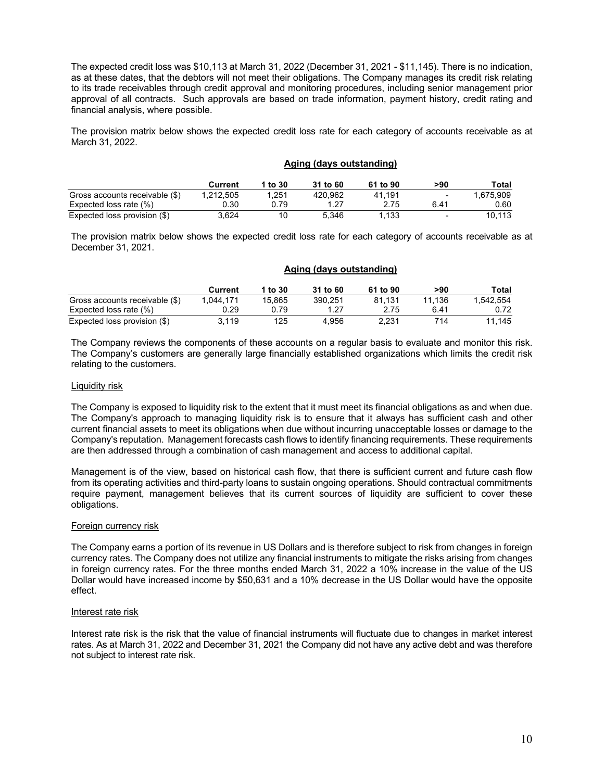The expected credit loss was \$10,113 at March 31, 2022 (December 31, 2021 - \$11,145). There is no indication, as at these dates, that the debtors will not meet their obligations. The Company manages its credit risk relating to its trade receivables through credit approval and monitoring procedures, including senior management prior approval of all contracts. Such approvals are based on trade information, payment history, credit rating and financial analysis, where possible.

The provision matrix below shows the expected credit loss rate for each category of accounts receivable as at March 31, 2022.

|                                | Aging (days outstanding) |         |          |          |                          |           |
|--------------------------------|--------------------------|---------|----------|----------|--------------------------|-----------|
|                                | Current                  | 1 to 30 | 31 to 60 | 61 to 90 | >90                      | Total     |
| Gross accounts receivable (\$) | 1.212.505                | 1.251   | 420,962  | 41.191   | $\overline{\phantom{0}}$ | 1,675,909 |
| Expected loss rate (%)         | 0.30                     | 0.79    | 1.27     | 2.75     | 6.41                     | 0.60      |
| Expected loss provision (\$)   | 3.624                    | 10      | 5.346    | 1.133    | -                        | 10.113    |

The provision matrix below shows the expected credit loss rate for each category of accounts receivable as at December 31, 2021.

|                                | Aging (days outstanding) |         |          |          |        |           |
|--------------------------------|--------------------------|---------|----------|----------|--------|-----------|
|                                | Current                  | 1 to 30 | 31 to 60 | 61 to 90 | >90    | Total     |
| Gross accounts receivable (\$) | 1.044.171                | 15,865  | 390.251  | 81.131   | 11.136 | 1.542.554 |
| Expected loss rate (%)         | 0.29                     | 0.79    | 1.27     | 2.75     | 6.41   | 0.72      |
| Expected loss provision (\$)   | 3.119                    | 125     | 4.956    | 2.231    | 714    | 11.145    |

The Company reviews the components of these accounts on a regular basis to evaluate and monitor this risk. The Company's customers are generally large financially established organizations which limits the credit risk relating to the customers.

### Liquidity risk

The Company is exposed to liquidity risk to the extent that it must meet its financial obligations as and when due. The Company's approach to managing liquidity risk is to ensure that it always has sufficient cash and other current financial assets to meet its obligations when due without incurring unacceptable losses or damage to the Company's reputation. Management forecasts cash flows to identify financing requirements. These requirements are then addressed through a combination of cash management and access to additional capital.

Management is of the view, based on historical cash flow, that there is sufficient current and future cash flow from its operating activities and third-party loans to sustain ongoing operations. Should contractual commitments require payment, management believes that its current sources of liquidity are sufficient to cover these obligations.

### Foreign currency risk

The Company earns a portion of its revenue in US Dollars and is therefore subject to risk from changes in foreign currency rates. The Company does not utilize any financial instruments to mitigate the risks arising from changes in foreign currency rates. For the three months ended March 31, 2022 a 10% increase in the value of the US Dollar would have increased income by \$50,631 and a 10% decrease in the US Dollar would have the opposite effect.

### Interest rate risk

Interest rate risk is the risk that the value of financial instruments will fluctuate due to changes in market interest rates. As at March 31, 2022 and December 31, 2021 the Company did not have any active debt and was therefore not subject to interest rate risk.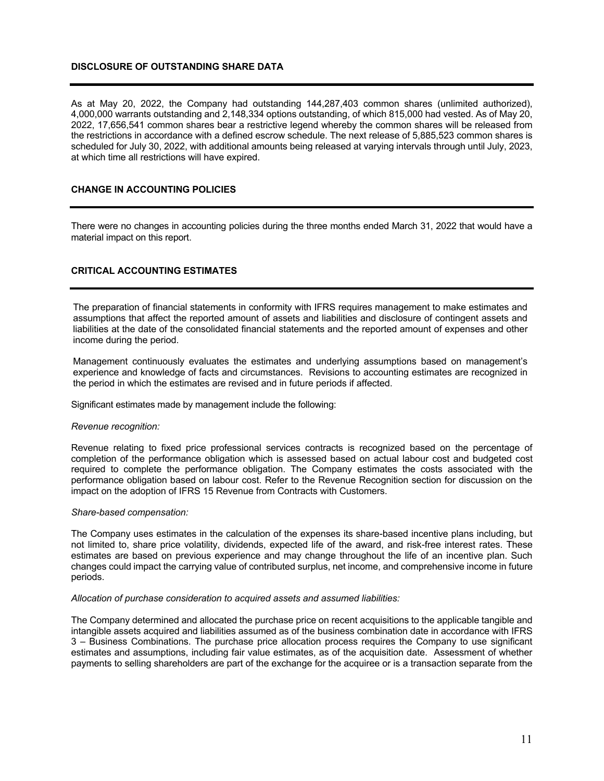## **DISCLOSURE OF OUTSTANDING SHARE DATA**

As at May 20, 2022, the Company had outstanding 144,287,403 common shares (unlimited authorized), 4,000,000 warrants outstanding and 2,148,334 options outstanding, of which 815,000 had vested. As of May 20, 2022, 17,656,541 common shares bear a restrictive legend whereby the common shares will be released from the restrictions in accordance with a defined escrow schedule. The next release of 5,885,523 common shares is scheduled for July 30, 2022, with additional amounts being released at varying intervals through until July, 2023, at which time all restrictions will have expired.

## **CHANGE IN ACCOUNTING POLICIES**

There were no changes in accounting policies during the three months ended March 31, 2022 that would have a material impact on this report.

## **CRITICAL ACCOUNTING ESTIMATES**

The preparation of financial statements in conformity with IFRS requires management to make estimates and assumptions that affect the reported amount of assets and liabilities and disclosure of contingent assets and liabilities at the date of the consolidated financial statements and the reported amount of expenses and other income during the period.

Management continuously evaluates the estimates and underlying assumptions based on management's experience and knowledge of facts and circumstances. Revisions to accounting estimates are recognized in the period in which the estimates are revised and in future periods if affected.

Significant estimates made by management include the following:

#### *Revenue recognition:*

Revenue relating to fixed price professional services contracts is recognized based on the percentage of completion of the performance obligation which is assessed based on actual labour cost and budgeted cost required to complete the performance obligation. The Company estimates the costs associated with the performance obligation based on labour cost. Refer to the Revenue Recognition section for discussion on the impact on the adoption of IFRS 15 Revenue from Contracts with Customers.

#### *Share-based compensation:*

The Company uses estimates in the calculation of the expenses its share-based incentive plans including, but not limited to, share price volatility, dividends, expected life of the award, and risk-free interest rates. These estimates are based on previous experience and may change throughout the life of an incentive plan. Such changes could impact the carrying value of contributed surplus, net income, and comprehensive income in future periods.

#### *Allocation of purchase consideration to acquired assets and assumed liabilities:*

The Company determined and allocated the purchase price on recent acquisitions to the applicable tangible and intangible assets acquired and liabilities assumed as of the business combination date in accordance with IFRS 3 – Business Combinations. The purchase price allocation process requires the Company to use significant estimates and assumptions, including fair value estimates, as of the acquisition date. Assessment of whether payments to selling shareholders are part of the exchange for the acquiree or is a transaction separate from the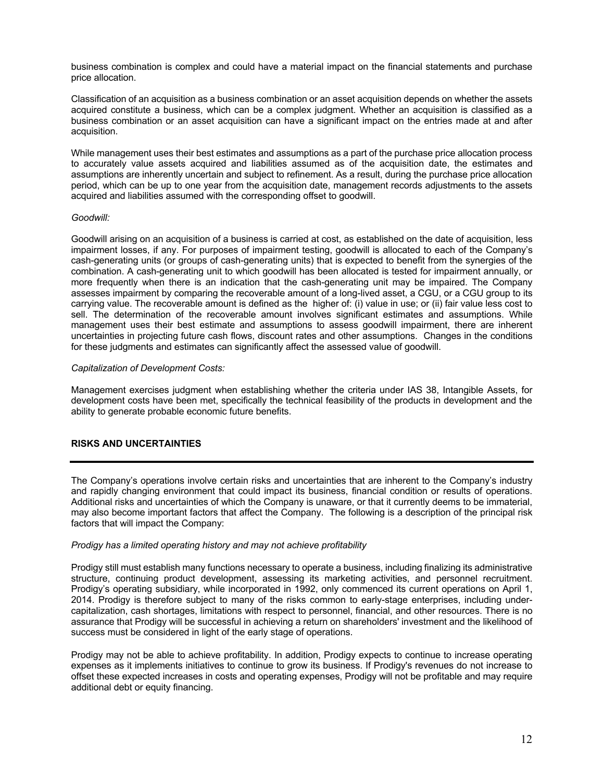business combination is complex and could have a material impact on the financial statements and purchase price allocation.

Classification of an acquisition as a business combination or an asset acquisition depends on whether the assets acquired constitute a business, which can be a complex judgment. Whether an acquisition is classified as a business combination or an asset acquisition can have a significant impact on the entries made at and after acquisition.

While management uses their best estimates and assumptions as a part of the purchase price allocation process to accurately value assets acquired and liabilities assumed as of the acquisition date, the estimates and assumptions are inherently uncertain and subject to refinement. As a result, during the purchase price allocation period, which can be up to one year from the acquisition date, management records adjustments to the assets acquired and liabilities assumed with the corresponding offset to goodwill.

### *Goodwill:*

Goodwill arising on an acquisition of a business is carried at cost, as established on the date of acquisition, less impairment losses, if any. For purposes of impairment testing, goodwill is allocated to each of the Company's cash-generating units (or groups of cash-generating units) that is expected to benefit from the synergies of the combination. A cash-generating unit to which goodwill has been allocated is tested for impairment annually, or more frequently when there is an indication that the cash-generating unit may be impaired. The Company assesses impairment by comparing the recoverable amount of a long-lived asset, a CGU, or a CGU group to its carrying value. The recoverable amount is defined as the higher of: (i) value in use; or (ii) fair value less cost to sell. The determination of the recoverable amount involves significant estimates and assumptions. While management uses their best estimate and assumptions to assess goodwill impairment, there are inherent uncertainties in projecting future cash flows, discount rates and other assumptions. Changes in the conditions for these judgments and estimates can significantly affect the assessed value of goodwill.

### *Capitalization of Development Costs:*

Management exercises judgment when establishing whether the criteria under IAS 38, Intangible Assets, for development costs have been met, specifically the technical feasibility of the products in development and the ability to generate probable economic future benefits.

## **RISKS AND UNCERTAINTIES**

The Company's operations involve certain risks and uncertainties that are inherent to the Company's industry and rapidly changing environment that could impact its business, financial condition or results of operations. Additional risks and uncertainties of which the Company is unaware, or that it currently deems to be immaterial, may also become important factors that affect the Company. The following is a description of the principal risk factors that will impact the Company:

### *Prodigy has a limited operating history and may not achieve profitability*

Prodigy still must establish many functions necessary to operate a business, including finalizing its administrative structure, continuing product development, assessing its marketing activities, and personnel recruitment. Prodigy's operating subsidiary, while incorporated in 1992, only commenced its current operations on April 1, 2014. Prodigy is therefore subject to many of the risks common to early-stage enterprises, including undercapitalization, cash shortages, limitations with respect to personnel, financial, and other resources. There is no assurance that Prodigy will be successful in achieving a return on shareholders' investment and the likelihood of success must be considered in light of the early stage of operations.

Prodigy may not be able to achieve profitability. In addition, Prodigy expects to continue to increase operating expenses as it implements initiatives to continue to grow its business. If Prodigy's revenues do not increase to offset these expected increases in costs and operating expenses, Prodigy will not be profitable and may require additional debt or equity financing.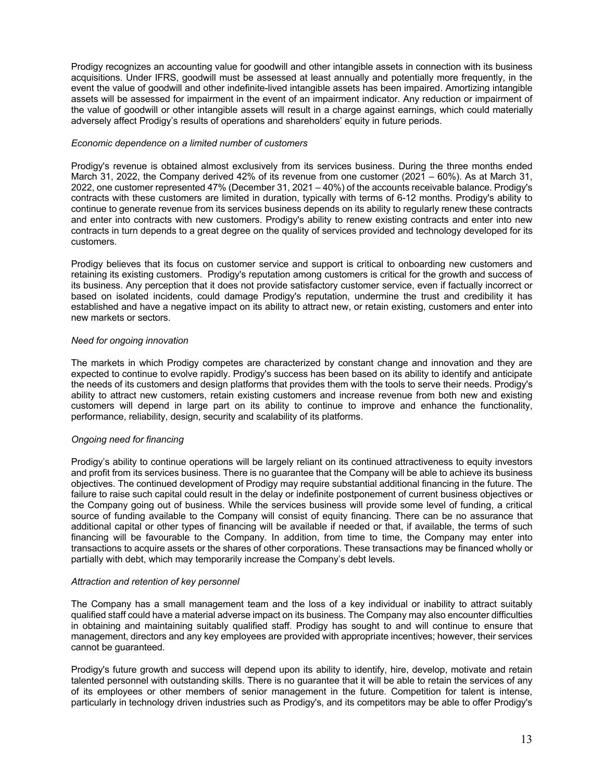Prodigy recognizes an accounting value for goodwill and other intangible assets in connection with its business acquisitions. Under IFRS, goodwill must be assessed at least annually and potentially more frequently, in the event the value of goodwill and other indefinite-lived intangible assets has been impaired. Amortizing intangible assets will be assessed for impairment in the event of an impairment indicator. Any reduction or impairment of the value of goodwill or other intangible assets will result in a charge against earnings, which could materially adversely affect Prodigy's results of operations and shareholders' equity in future periods.

### *Economic dependence on a limited number of customers*

Prodigy's revenue is obtained almost exclusively from its services business. During the three months ended March 31, 2022, the Company derived 42% of its revenue from one customer (2021 – 60%). As at March 31, 2022, one customer represented 47% (December 31, 2021 – 40%) of the accounts receivable balance. Prodigy's contracts with these customers are limited in duration, typically with terms of 6-12 months. Prodigy's ability to continue to generate revenue from its services business depends on its ability to regularly renew these contracts and enter into contracts with new customers. Prodigy's ability to renew existing contracts and enter into new contracts in turn depends to a great degree on the quality of services provided and technology developed for its customers.

Prodigy believes that its focus on customer service and support is critical to onboarding new customers and retaining its existing customers. Prodigy's reputation among customers is critical for the growth and success of its business. Any perception that it does not provide satisfactory customer service, even if factually incorrect or based on isolated incidents, could damage Prodigy's reputation, undermine the trust and credibility it has established and have a negative impact on its ability to attract new, or retain existing, customers and enter into new markets or sectors.

## *Need for ongoing innovation*

The markets in which Prodigy competes are characterized by constant change and innovation and they are expected to continue to evolve rapidly. Prodigy's success has been based on its ability to identify and anticipate the needs of its customers and design platforms that provides them with the tools to serve their needs. Prodigy's ability to attract new customers, retain existing customers and increase revenue from both new and existing customers will depend in large part on its ability to continue to improve and enhance the functionality, performance, reliability, design, security and scalability of its platforms.

# *Ongoing need for financing*

Prodigy's ability to continue operations will be largely reliant on its continued attractiveness to equity investors and profit from its services business. There is no guarantee that the Company will be able to achieve its business objectives. The continued development of Prodigy may require substantial additional financing in the future. The failure to raise such capital could result in the delay or indefinite postponement of current business objectives or the Company going out of business. While the services business will provide some level of funding, a critical source of funding available to the Company will consist of equity financing. There can be no assurance that additional capital or other types of financing will be available if needed or that, if available, the terms of such financing will be favourable to the Company. In addition, from time to time, the Company may enter into transactions to acquire assets or the shares of other corporations. These transactions may be financed wholly or partially with debt, which may temporarily increase the Company's debt levels.

### *Attraction and retention of key personnel*

The Company has a small management team and the loss of a key individual or inability to attract suitably qualified staff could have a material adverse impact on its business. The Company may also encounter difficulties in obtaining and maintaining suitably qualified staff. Prodigy has sought to and will continue to ensure that management, directors and any key employees are provided with appropriate incentives; however, their services cannot be guaranteed.

Prodigy's future growth and success will depend upon its ability to identify, hire, develop, motivate and retain talented personnel with outstanding skills. There is no guarantee that it will be able to retain the services of any of its employees or other members of senior management in the future. Competition for talent is intense, particularly in technology driven industries such as Prodigy's, and its competitors may be able to offer Prodigy's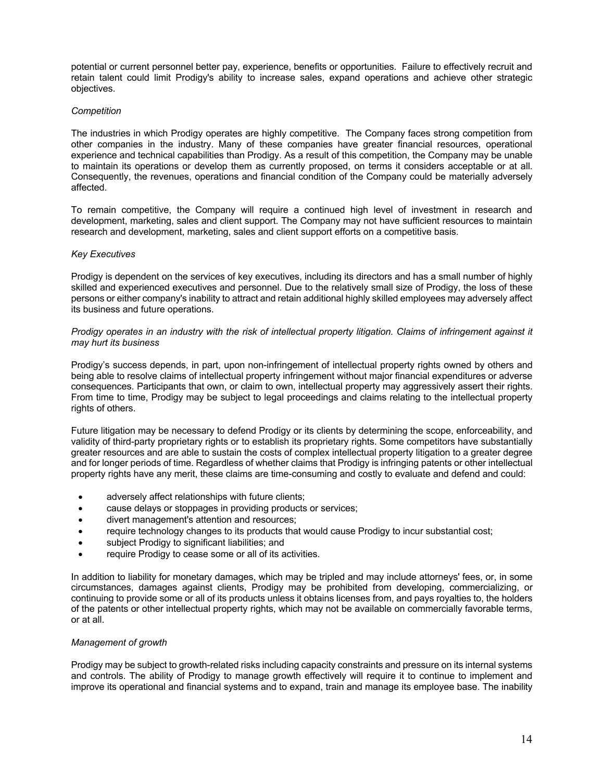potential or current personnel better pay, experience, benefits or opportunities. Failure to effectively recruit and retain talent could limit Prodigy's ability to increase sales, expand operations and achieve other strategic objectives.

## *Competition*

The industries in which Prodigy operates are highly competitive. The Company faces strong competition from other companies in the industry. Many of these companies have greater financial resources, operational experience and technical capabilities than Prodigy. As a result of this competition, the Company may be unable to maintain its operations or develop them as currently proposed, on terms it considers acceptable or at all. Consequently, the revenues, operations and financial condition of the Company could be materially adversely affected.

To remain competitive, the Company will require a continued high level of investment in research and development, marketing, sales and client support. The Company may not have sufficient resources to maintain research and development, marketing, sales and client support efforts on a competitive basis.

### *Key Executives*

Prodigy is dependent on the services of key executives, including its directors and has a small number of highly skilled and experienced executives and personnel. Due to the relatively small size of Prodigy, the loss of these persons or either company's inability to attract and retain additional highly skilled employees may adversely affect its business and future operations.

## *Prodigy operates in an industry with the risk of intellectual property litigation. Claims of infringement against it may hurt its business*

Prodigy's success depends, in part, upon non-infringement of intellectual property rights owned by others and being able to resolve claims of intellectual property infringement without major financial expenditures or adverse consequences. Participants that own, or claim to own, intellectual property may aggressively assert their rights. From time to time, Prodigy may be subject to legal proceedings and claims relating to the intellectual property rights of others.

Future litigation may be necessary to defend Prodigy or its clients by determining the scope, enforceability, and validity of third-party proprietary rights or to establish its proprietary rights. Some competitors have substantially greater resources and are able to sustain the costs of complex intellectual property litigation to a greater degree and for longer periods of time. Regardless of whether claims that Prodigy is infringing patents or other intellectual property rights have any merit, these claims are time-consuming and costly to evaluate and defend and could:

- adversely affect relationships with future clients;
- cause delays or stoppages in providing products or services;
- divert management's attention and resources;
- require technology changes to its products that would cause Prodigy to incur substantial cost;
- subject Prodigy to significant liabilities; and
- require Prodigy to cease some or all of its activities.

In addition to liability for monetary damages, which may be tripled and may include attorneys' fees, or, in some circumstances, damages against clients, Prodigy may be prohibited from developing, commercializing, or continuing to provide some or all of its products unless it obtains licenses from, and pays royalties to, the holders of the patents or other intellectual property rights, which may not be available on commercially favorable terms, or at all.

# *Management of growth*

Prodigy may be subject to growth-related risks including capacity constraints and pressure on its internal systems and controls. The ability of Prodigy to manage growth effectively will require it to continue to implement and improve its operational and financial systems and to expand, train and manage its employee base. The inability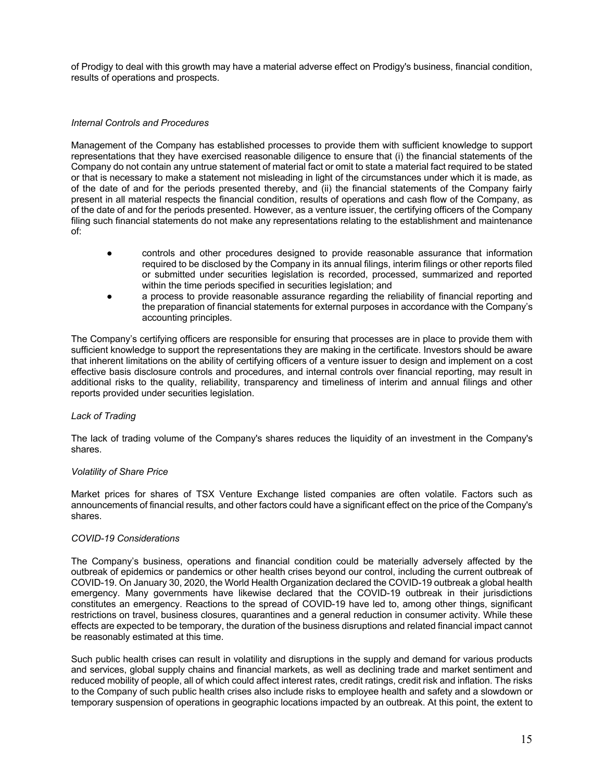of Prodigy to deal with this growth may have a material adverse effect on Prodigy's business, financial condition, results of operations and prospects.

## *Internal Controls and Procedures*

Management of the Company has established processes to provide them with sufficient knowledge to support representations that they have exercised reasonable diligence to ensure that (i) the financial statements of the Company do not contain any untrue statement of material fact or omit to state a material fact required to be stated or that is necessary to make a statement not misleading in light of the circumstances under which it is made, as of the date of and for the periods presented thereby, and (ii) the financial statements of the Company fairly present in all material respects the financial condition, results of operations and cash flow of the Company, as of the date of and for the periods presented. However, as a venture issuer, the certifying officers of the Company filing such financial statements do not make any representations relating to the establishment and maintenance of:

- controls and other procedures designed to provide reasonable assurance that information required to be disclosed by the Company in its annual filings, interim filings or other reports filed or submitted under securities legislation is recorded, processed, summarized and reported within the time periods specified in securities legislation; and
- a process to provide reasonable assurance regarding the reliability of financial reporting and the preparation of financial statements for external purposes in accordance with the Company's accounting principles.

The Company's certifying officers are responsible for ensuring that processes are in place to provide them with sufficient knowledge to support the representations they are making in the certificate. Investors should be aware that inherent limitations on the ability of certifying officers of a venture issuer to design and implement on a cost effective basis disclosure controls and procedures, and internal controls over financial reporting, may result in additional risks to the quality, reliability, transparency and timeliness of interim and annual filings and other reports provided under securities legislation.

# *Lack of Trading*

The lack of trading volume of the Company's shares reduces the liquidity of an investment in the Company's shares.

# *Volatility of Share Price*

Market prices for shares of TSX Venture Exchange listed companies are often volatile. Factors such as announcements of financial results, and other factors could have a significant effect on the price of the Company's shares.

### *COVID-19 Considerations*

The Company's business, operations and financial condition could be materially adversely affected by the outbreak of epidemics or pandemics or other health crises beyond our control, including the current outbreak of COVID-19. On January 30, 2020, the World Health Organization declared the COVID-19 outbreak a global health emergency. Many governments have likewise declared that the COVID-19 outbreak in their jurisdictions constitutes an emergency. Reactions to the spread of COVID-19 have led to, among other things, significant restrictions on travel, business closures, quarantines and a general reduction in consumer activity. While these effects are expected to be temporary, the duration of the business disruptions and related financial impact cannot be reasonably estimated at this time.

Such public health crises can result in volatility and disruptions in the supply and demand for various products and services, global supply chains and financial markets, as well as declining trade and market sentiment and reduced mobility of people, all of which could affect interest rates, credit ratings, credit risk and inflation. The risks to the Company of such public health crises also include risks to employee health and safety and a slowdown or temporary suspension of operations in geographic locations impacted by an outbreak. At this point, the extent to